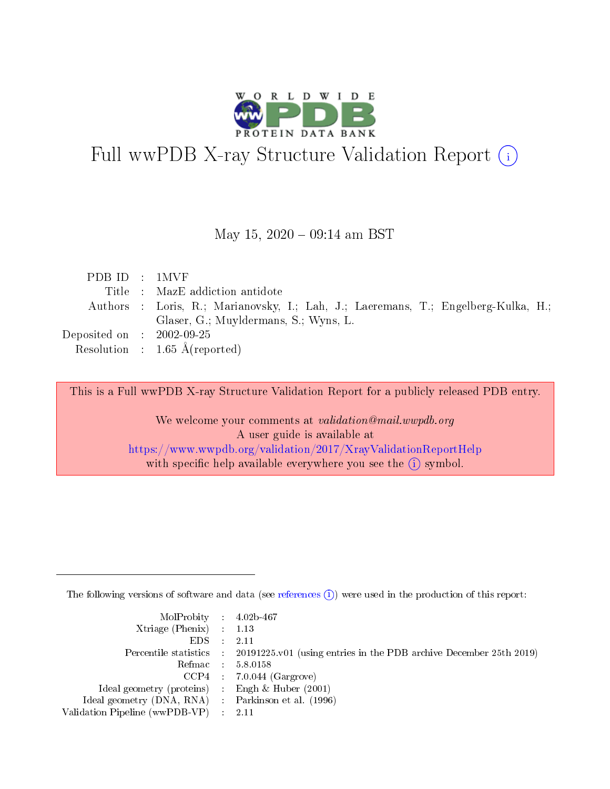

# Full wwPDB X-ray Structure Validation Report (i)

May 15,  $2020 - 09:14$  am BST

| PDBID : 1MVF                |                                                                                    |
|-----------------------------|------------------------------------------------------------------------------------|
|                             | Title : MazE addiction antidote                                                    |
|                             | Authors : Loris, R.; Marianovsky, I.; Lah, J.; Laeremans, T.; Engelberg-Kulka, H.; |
|                             | Glaser, G.; Muyldermans, S.; Wyns, L.                                              |
| Deposited on : $2002-09-25$ |                                                                                    |
|                             | Resolution : $1.65 \text{ Å}$ (reported)                                           |
|                             |                                                                                    |

This is a Full wwPDB X-ray Structure Validation Report for a publicly released PDB entry.

We welcome your comments at validation@mail.wwpdb.org A user guide is available at <https://www.wwpdb.org/validation/2017/XrayValidationReportHelp> with specific help available everywhere you see the  $(i)$  symbol.

The following versions of software and data (see [references](https://www.wwpdb.org/validation/2017/XrayValidationReportHelp#references)  $(i)$ ) were used in the production of this report:

| MolProbity : 4.02b-467                              |                                                                                            |
|-----------------------------------------------------|--------------------------------------------------------------------------------------------|
| Xtriage (Phenix) $: 1.13$                           |                                                                                            |
| $EDS = 2.11$                                        |                                                                                            |
|                                                     | Percentile statistics : 20191225.v01 (using entries in the PDB archive December 25th 2019) |
|                                                     | Refmac : 5.8.0158                                                                          |
|                                                     | $CCP4$ : 7.0.044 (Gargrove)                                                                |
| Ideal geometry (proteins) : Engh $\&$ Huber (2001)  |                                                                                            |
| Ideal geometry (DNA, RNA) : Parkinson et al. (1996) |                                                                                            |
| Validation Pipeline (wwPDB-VP) : 2.11               |                                                                                            |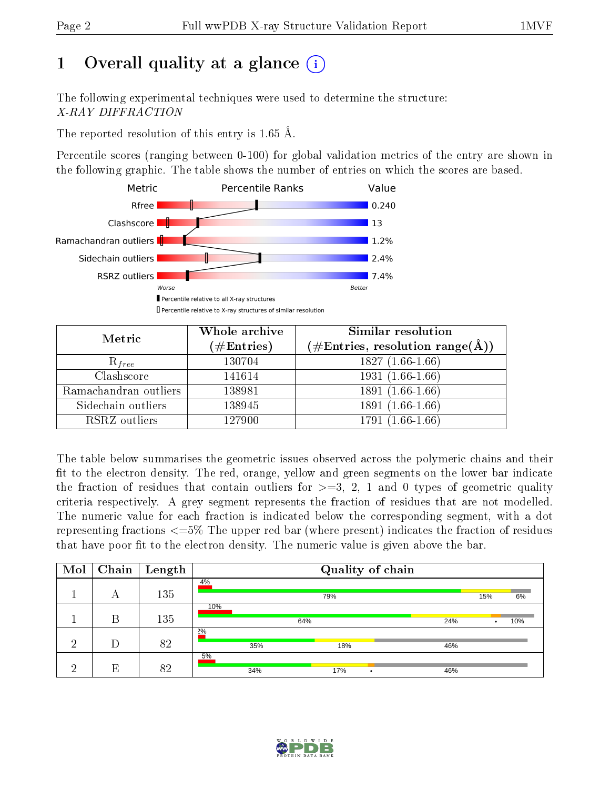# 1 [O](https://www.wwpdb.org/validation/2017/XrayValidationReportHelp#overall_quality)verall quality at a glance  $(i)$

The following experimental techniques were used to determine the structure: X-RAY DIFFRACTION

The reported resolution of this entry is 1.65 Å.

Percentile scores (ranging between 0-100) for global validation metrics of the entry are shown in the following graphic. The table shows the number of entries on which the scores are based.



| Metric                | Whole archive        | <b>Similar resolution</b>                                   |
|-----------------------|----------------------|-------------------------------------------------------------|
|                       | $(\#\text{Entries})$ | $(\#\text{Entries}, \text{resolution range}(\textup{\AA}))$ |
| $R_{free}$            | 130704               | $1827(1.66-1.66)$                                           |
| Clashscore            | 141614               | $1931(1.66-1.66)$                                           |
| Ramachandran outliers | 138981               | $1891(1.66-1.66)$                                           |
| Sidechain outliers    | 138945               | 1891 (1.66-1.66)                                            |
| RSRZ outliers         | 127900               | $1791(1.66-1.66)$                                           |

The table below summarises the geometric issues observed across the polymeric chains and their fit to the electron density. The red, orange, yellow and green segments on the lower bar indicate the fraction of residues that contain outliers for  $>=3, 2, 1$  and 0 types of geometric quality criteria respectively. A grey segment represents the fraction of residues that are not modelled. The numeric value for each fraction is indicated below the corresponding segment, with a dot representing fractions  $\epsilon=5\%$  The upper red bar (where present) indicates the fraction of residues that have poor fit to the electron density. The numeric value is given above the bar.

| Mol      | Chain | $\overline{\phantom{a}}$ Length |           | Quality of chain |     |     |     |
|----------|-------|---------------------------------|-----------|------------------|-----|-----|-----|
|          | А     | 135                             | 4%        | 79%              |     | 15% | 6%  |
|          | В     | 135                             | 10%       | 64%              | 24% |     | 10% |
| ച        | D     | 82                              | 2%<br>35% | 18%              | 46% |     |     |
| $\Omega$ | E     | 82                              | 5%<br>34% | 17%<br>٠         | 46% |     |     |

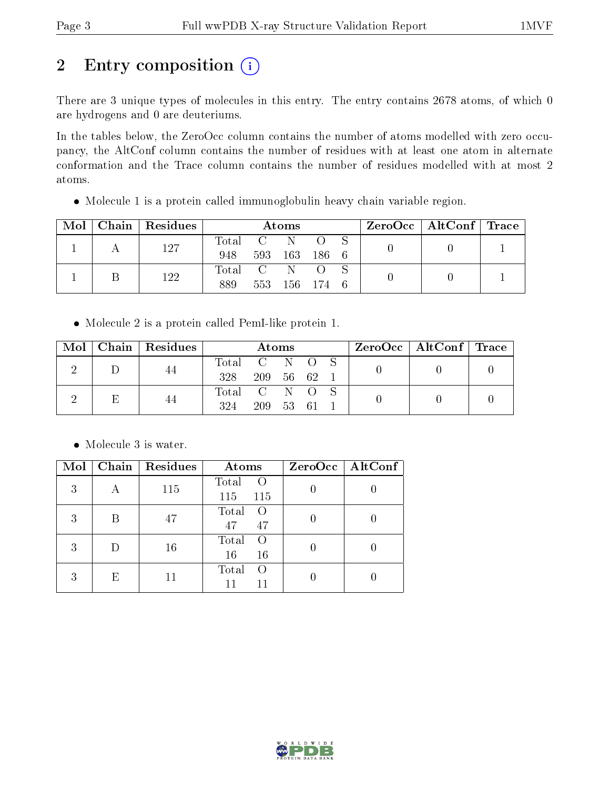# 2 Entry composition (i)

There are 3 unique types of molecules in this entry. The entry contains 2678 atoms, of which 0 are hydrogens and 0 are deuteriums.

In the tables below, the ZeroOcc column contains the number of atoms modelled with zero occupancy, the AltConf column contains the number of residues with at least one atom in alternate conformation and the Trace column contains the number of residues modelled with at most 2 atoms.

Molecule 1 is a protein called immunoglobulin heavy chain variable region.

| Mol | Chain Residues | Atoms   |                 |         |           |  | $\rm ZeroOcc \mid AltConf \mid Trace$ |  |
|-----|----------------|---------|-----------------|---------|-----------|--|---------------------------------------|--|
|     | 127            | Total   | $\sim$ C $\sim$ | - N     |           |  |                                       |  |
|     |                | 948     |                 | 593 163 | 186 6     |  |                                       |  |
|     | 122            | Total C |                 | N       |           |  |                                       |  |
|     |                | 889     | 553             |         | 156 174 6 |  |                                       |  |

Molecule 2 is a protein called PemI-like protein 1.

|  | $Mol$   Chain   Residues |               | <b>Atoms</b> |  |  | $\text{ZeroOcc} \mid \text{AltConf} \mid \text{Trace}$ |  |
|--|--------------------------|---------------|--------------|--|--|--------------------------------------------------------|--|
|  | 44                       | Total C N O S |              |  |  |                                                        |  |
|  |                          | 328           | 209 56 62    |  |  |                                                        |  |
|  | 44                       | Total C N O S |              |  |  |                                                        |  |
|  |                          | 324           | 209 53 61    |  |  |                                                        |  |

• Molecule 3 is water.

| Mol |   | Chain   Residues | Atoms                                   | $ZeroOcc \   \$ AltConf |
|-----|---|------------------|-----------------------------------------|-------------------------|
| 3   | А | 115              | Total<br>$\left( \right)$<br>115<br>115 |                         |
| 3   | R | 47               | Total<br>- 0<br>47<br>47                |                         |
| 3   |   | 16               | Total<br>$\left( \right)$<br>16<br>-16  |                         |
| 3   | E |                  | Total<br>$\left( \right)$<br>11         |                         |

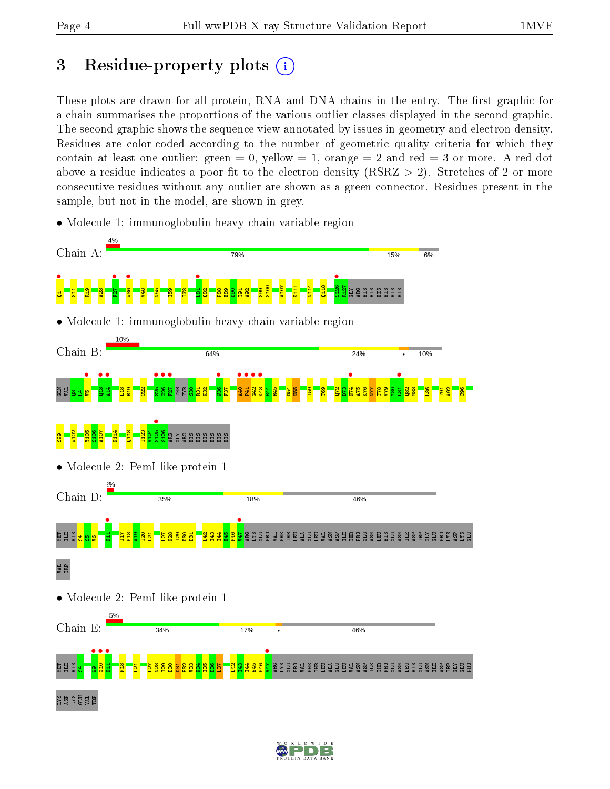# 3 Residue-property plots  $(i)$

These plots are drawn for all protein, RNA and DNA chains in the entry. The first graphic for a chain summarises the proportions of the various outlier classes displayed in the second graphic. The second graphic shows the sequence view annotated by issues in geometry and electron density. Residues are color-coded according to the number of geometric quality criteria for which they contain at least one outlier: green  $= 0$ , yellow  $= 1$ , orange  $= 2$  and red  $= 3$  or more. A red dot above a residue indicates a poor fit to the electron density (RSRZ  $> 2$ ). Stretches of 2 or more consecutive residues without any outlier are shown as a green connector. Residues present in the sample, but not in the model, are shown in grey.

• Molecule 1: immunoglobulin heavy chain variable region



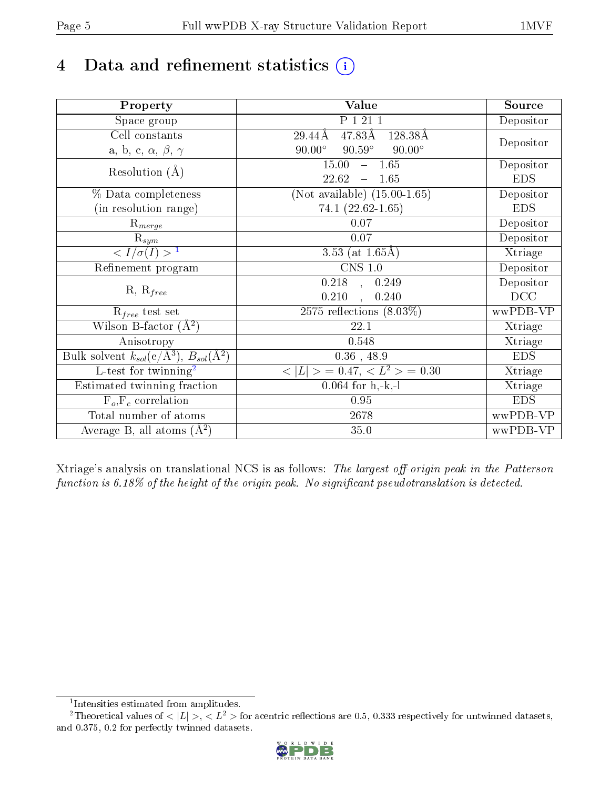# 4 Data and refinement statistics  $(i)$

| Property                                                             | Value                                           | Source     |
|----------------------------------------------------------------------|-------------------------------------------------|------------|
| Space group                                                          | P 1 21 1                                        | Depositor  |
| Cell constants                                                       | $47.83\text{\AA}$<br>128.38Å<br>29.44Å          |            |
| a, b, c, $\alpha$ , $\beta$ , $\gamma$                               | $90.59^\circ$<br>$90.00^\circ$<br>$90.00^\circ$ | Depositor  |
| Resolution $(A)$                                                     | $-1.65$<br>15.00                                | Depositor  |
|                                                                      | 22.62<br>1.65<br>$\equiv$                       | <b>EDS</b> |
| % Data completeness                                                  | (Not available) $(15.00-1.65)$                  | Depositor  |
| (in resolution range)                                                | $74.1(22.62 - 1.65)$                            | <b>EDS</b> |
| $R_{merge}$                                                          | 0.07                                            | Depositor  |
| $\mathrm{R}_{sym}$                                                   | $0.07\,$                                        | Depositor  |
| $\langle I/\sigma(I) \rangle^{-1}$                                   | 3.53 (at $1.65\text{\AA}$ )                     | Xtriage    |
| Refinement program                                                   | $CNS$ 1.0                                       | Depositor  |
|                                                                      | 0.218<br>0.249<br>$\sim$ $\sim$                 | Depositor  |
| $R, R_{free}$                                                        | 0.210<br>0.240                                  | DCC        |
| $R_{free}$ test set                                                  | 2575 reflections $(8.03\%)$                     | wwPDB-VP   |
| Wilson B-factor $(A^2)$                                              | 22.1                                            | Xtriage    |
| Anisotropy                                                           | 0.548                                           | Xtriage    |
| Bulk solvent $k_{sol}(e/\mathring{A}^3)$ , $B_{sol}(\mathring{A}^2)$ | $0.36$ , 48.9                                   | <b>EDS</b> |
| $\overline{L-test for}$ twinning <sup>2</sup>                        | $< L >$ = 0.47, $< L2$ = 0.30                   | Xtriage    |
| Estimated twinning fraction                                          | $0.064$ for h,-k,-l                             | Xtriage    |
| $F_o, F_c$ correlation                                               | 0.95                                            | <b>EDS</b> |
| Total number of atoms                                                | 2678                                            | wwPDB-VP   |
| Average B, all atoms $(A^2)$                                         | 35.0                                            | wwPDB-VP   |

Xtriage's analysis on translational NCS is as follows: The largest off-origin peak in the Patterson function is  $6.18\%$  of the height of the origin peak. No significant pseudotranslation is detected.

<sup>&</sup>lt;sup>2</sup>Theoretical values of  $\langle |L| \rangle$ ,  $\langle L^2 \rangle$  for acentric reflections are 0.5, 0.333 respectively for untwinned datasets, and 0.375, 0.2 for perfectly twinned datasets.



<span id="page-4-1"></span><span id="page-4-0"></span><sup>1</sup> Intensities estimated from amplitudes.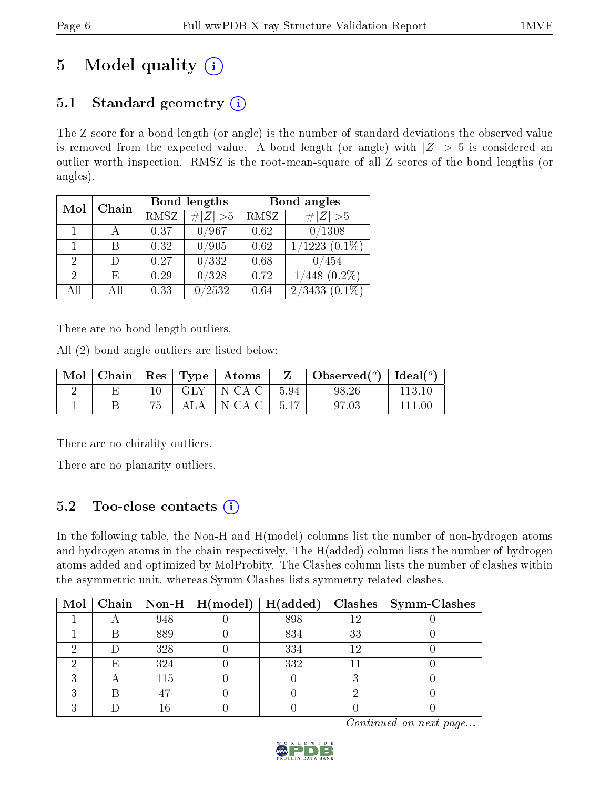# 5 Model quality  $(i)$

## 5.1 Standard geometry  $(i)$

The Z score for a bond length (or angle) is the number of standard deviations the observed value is removed from the expected value. A bond length (or angle) with  $|Z| > 5$  is considered an outlier worth inspection. RMSZ is the root-mean-square of all Z scores of the bond lengths (or angles).

| Mol                         | Chain |      | Bond lengths | Bond angles |                                      |  |
|-----------------------------|-------|------|--------------|-------------|--------------------------------------|--|
|                             |       | RMSZ | # $ Z  > 5$  | RMSZ        | # Z  > 5                             |  |
| 1                           |       | 0.37 | 0/967        | 0.62        | 0/1308                               |  |
|                             | В     | 0.32 | /905         | 0.62        | $(1223(0.1\%)$                       |  |
| $\mathcal{D}_{\mathcal{L}}$ |       | 0.27 | 0/332        | 0.68        | 0/454                                |  |
| 2                           | E     | 0.29 | /328         | 0.72        | $(0.2\%)$<br>448                     |  |
| AH                          | ΑH    | 0.33 | /2532        | 0.64        | /3433<br>$(0.1\%)$<br>$\overline{2}$ |  |

There are no bond length outliers.

All (2) bond angle outliers are listed below:

|  |  | $\mid$ Mol $\mid$ Chain $\mid$ Res $\mid$ Type $\mid$ Atoms $\mid$ | $\mathbf{Z}$ | $\mid$ Observed $({}^o)$ $\mid$ Ideal $({}^o)$ |         |
|--|--|--------------------------------------------------------------------|--------------|------------------------------------------------|---------|
|  |  | $10$   GLY   N-CA-C   -5.94                                        |              | 98.26                                          | -113-10 |
|  |  | $ALA$   N-CA-C   -5.17                                             |              | 97.03                                          | 111 M   |

There are no chirality outliers.

There are no planarity outliers.

## 5.2 Too-close contacts  $(i)$

In the following table, the Non-H and H(model) columns list the number of non-hydrogen atoms and hydrogen atoms in the chain respectively. The H(added) column lists the number of hydrogen atoms added and optimized by MolProbity. The Clashes column lists the number of clashes within the asymmetric unit, whereas Symm-Clashes lists symmetry related clashes.

|   |     | Mol   Chain   Non-H   H(model)   H(added) |     |     | $\boldsymbol{\mathrm{Class}} \mid \boldsymbol{\mathrm{Symm\text{-}Class}}$ |
|---|-----|-------------------------------------------|-----|-----|----------------------------------------------------------------------------|
|   | 948 |                                           | 898 | 1 ດ |                                                                            |
|   | 889 |                                           | 834 | 33  |                                                                            |
|   | 328 |                                           | 334 |     |                                                                            |
| F | 324 |                                           | 332 |     |                                                                            |
|   | 115 |                                           |     |     |                                                                            |
|   |     |                                           |     |     |                                                                            |
|   |     |                                           |     |     |                                                                            |

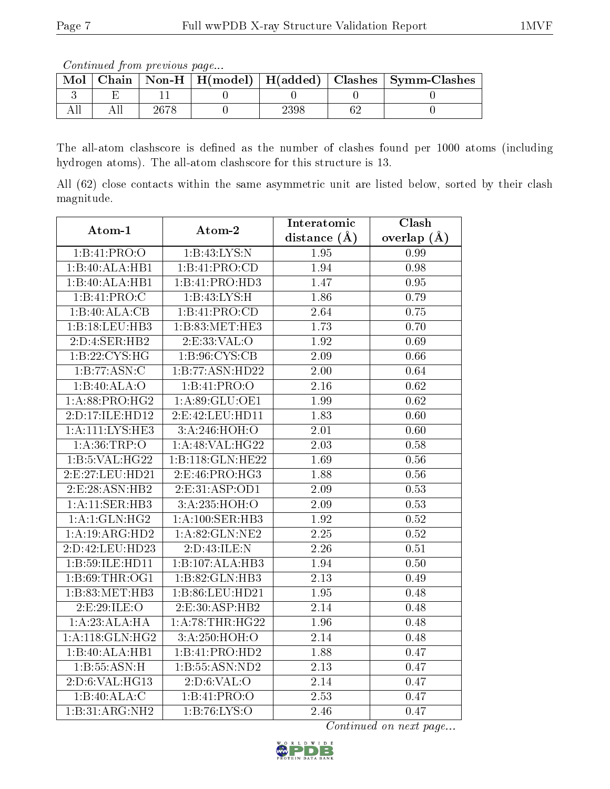Continued from previous page...

| Mol |      |      | Chain   Non-H   H(model)   H(added)   Clashes   Symm-Clashes |
|-----|------|------|--------------------------------------------------------------|
|     |      |      |                                                              |
|     | 2678 | 2398 |                                                              |

The all-atom clashscore is defined as the number of clashes found per 1000 atoms (including hydrogen atoms). The all-atom clashscore for this structure is 13.

All (62) close contacts within the same asymmetric unit are listed below, sorted by their clash magnitude.

| Atom-1              | Atom-2                     | Interatomic       | Clash             |
|---------------------|----------------------------|-------------------|-------------------|
|                     |                            | distance $(A)$    | overlap $(A)$     |
| 1:B:41:PRO:O        | 1:B:43:LYS:N               | 1.95              | 0.99              |
| 1:B:40:ALA:HB1      | 1:B:41:PRO:CD              | 1.94              | 0.98              |
| 1:B:40:ALA:HBI      | 1:B:41:PRO:H <sub>D3</sub> | $\overline{1.47}$ | 0.95              |
| 1:B:41:PRO:C        | 1:B:43:LYS:H               | 1.86              | 0.79              |
| 1:B:40:ALA:CB       | 1:B:41:PRO:CD              | 2.64              | 0.75              |
| 1:B:18:LEU:HB3      | 1:B:83:MET:HE3             | 1.73              | 0.70              |
| 2:D:4:SER:HB2       | 2:ES:33:VAL:O              | 1.92              | 0.69              |
| 1:B:22:CYS:HG       | 1: B: 96: CYS: CB          | 2.09              | 0.66              |
| 1:B:77:ASN:C        | 1:B:77:ASN:HD22            | 2.00              | 0.64              |
| 1:B:40:ALA:O        | 1:B:41:PRO:O               | 2.16              | $\overline{0.62}$ |
| 1: A:88: PRO:HG2    | 1:A:89:GLU:OE1             | 1.99              | 0.62              |
| 2:D:17:ILE:HD12     | 2:E:42:LEU:HD11            | 1.83              | 0.60              |
| 1: A: 111: LYS: HE3 | 3:A:246:HOH:O              | 2.01              | 0.60              |
| 1: A:36:TRP:O       | 1: A:48: VAL:HG22          | 2.03              | 0.58              |
| 1:B:5:VAL:HG22      | 1:B:118:GLN:HE22           | 1.69              | 0.56              |
| 2:E:27:LEU:HD21     | 2:E:46:PRO:HG3             | 1.88              | 0.56              |
| 2:E:28:ASN:HB2      | 2:E:31:ASP:OD1             | 2.09              | 0.53              |
| 1:A:11:SER:HB3      | 3:A:235:HOH:O              | 2.09              | 0.53              |
| 1:A:1:GLN:HG2       | 1:A:100:SER:HB3            | 1.92              | 0.52              |
| 1:A:19:ARG:HD2      | 1: A:82: GLN:NE2           | $\overline{2.25}$ | 0.52              |
| 2:D:42:LEU:HD23     | 2:D:43:ILE:N               | 2.26              | 0.51              |
| 1:B:59:ILE:HD11     | 1:B:107:ALA:HB3            | 1.94              | 0.50              |
| 1:B:69:THR:OG1      | 1:B:82:GLN:HB3             | 2.13              | 0.49              |
| 1:B:83:MET:HB3      | 1:B:86:LEU:HD21            | 1.95              | 0.48              |
| 2:E:29:ILE:O        | 2:E:30:ASP:HB2             | 2.14              | 0.48              |
| 1:A:23:ALA:HA       | 1: A:78:THR:HG22           | 1.96              | 0.48              |
| 1:A:118:GLN:HG2     | 3:A:250:HOH:O              | $\overline{2.14}$ | 0.48              |
| 1:B:40:ALA:HB1      | 1:B:41:PRO:H <sub>D2</sub> | 1.88              | 0.47              |
| 1:B:55:ASN:H        | 1:B:55:ASN:ND2             | 2.13              | 0.47              |
| 2:D:6:VAL:HG13      | 2:D:6:VAL:O                | 2.14              | 0.47              |
| 1:B:40:ALA:C        | 1:B:41:PRO:O               | 2.53              | 0.47              |
| 1:B:31:ARG:NH2      | 1:B:76:LYS:O               | 2.46              | 0.47              |

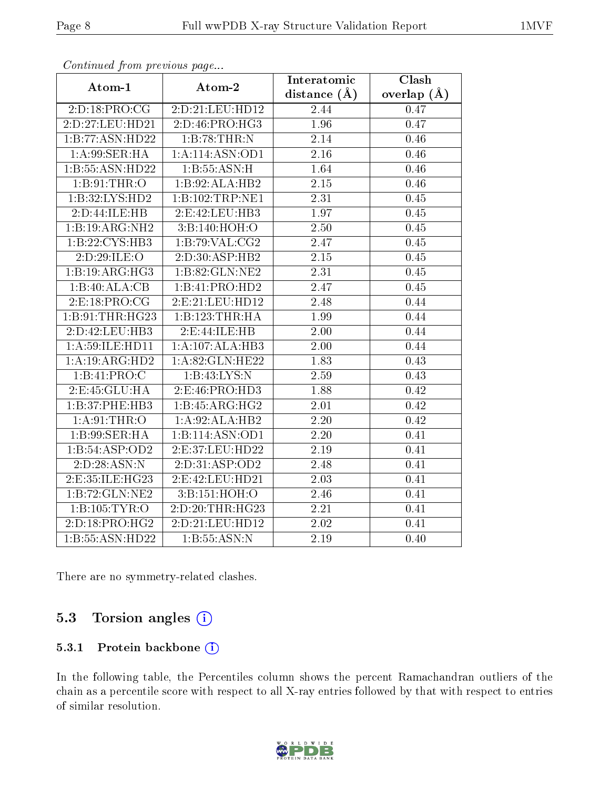| ondinaba jibin pibeloas pago |                   | Interatomic       | Clash             |
|------------------------------|-------------------|-------------------|-------------------|
| Atom-1                       | Atom-2            | distance $(A)$    | overlap $(A)$     |
| 2:D:18:PRO:CG                | 2:D:21:LEU:HD12   | 2.44              | 0.47              |
| 2:D:27:LEU:HD21              | 2:D:46:PRO:HG3    | 1.96              | 0.47              |
| 1:B:77:ASN:HD22              | 1:B:78:THR:N      | 2.14              | 0.46              |
| 1:A:99:SER:HA                | 1:A:114:ASN:OD1   | 2.16              | 0.46              |
| 1:B:55:ASN:HD22              | 1: B: 55: ASN:H   | 1.64              | 0.46              |
| 1: B:91:THR:O                | 1:B:92:ALA:HB2    | $2.15\,$          | 0.46              |
| 1:B:32:LYS:HD2               | 1:B:102:TRP:NE1   | 2.31              | 0.45              |
| 2:D:44:ILE:HB                | 2:E:42:LEU:HB3    | 1.97              | 0.45              |
| 1:B:19:ARG:NH2               | 3:B:140:HOH:O     | $\overline{2.50}$ | 0.45              |
| 1:B:22:CYS:HB3               | 1:B:79:VAL:CG2    | 2.47              | 0.45              |
| 2:D:29:ILE:O                 | 2:D:30:ASP:HB2    | $2.15\,$          | 0.45              |
| 1:B:19:ARG:HG3               | 1:B:82:GLN:NE2    | $\overline{2.31}$ | 0.45              |
| 1:B:40:ALA:CB                | 1:B:41:PRO:HD2    | 2.47              | 0.45              |
| 2:E:18:PRO:CG                | 2: E:21: LEU:HD12 | 2.48              | 0.44              |
| 1:B:91:THR:HG23              | 1:B:123:THR:HA    | 1.99              | 0.44              |
| 2:D:42:LEU:HB3               | 2: E: 44: ILE: HB | 2.00              | 0.44              |
| 1:A:59:ILE:HD11              | 1:A:107:ALA:HB3   | 2.00              | 0.44              |
| 1:A:19:ARG:HD2               | 1:A:82:GLN:HE22   | 1.83              | 0.43              |
| 1:B:41:PRO:C                 | 1:B:43:LYS:N      | 2.59              | 0.43              |
| 2:E:45:GLU:HA                | 2:E:46:PRO:HD3    | 1.88              | 0.42              |
| 1:B:37:PHE:HB3               | 1:B:45:ARG:HG2    | $\overline{2.01}$ | $\overline{0.42}$ |
| 1: A:91:THR:O                | 1:A:92:ALA:HB2    | 2.20              | 0.42              |
| 1: B:99: SER: HA             | 1:B:114:ASN:OD1   | 2.20              | 0.41              |
| 1:B:54:ASP:OD2               | 2:E:37:LEU:HD22   | 2.19              | 0.41              |
| 2:D:28:ASN:N                 | 2:D:31:ASP:OD2    | 2.48              | 0.41              |
| 2:E:35:ILE:HG23              | 2:E:42:LEU:HD21   | $\overline{2.03}$ | 0.41              |
| 1:B:72:GLN:NE2               | 3:B:151:HOH:O     | 2.46              | 0.41              |
| 1:B:105:TYR:O                | 2:D:20:THR:HG23   | 2.21              | 0.41              |
| 2:D:18:PRO:HG2               | 2:D:21:LEU:HD12   | 2.02              | 0.41              |
| 1:B:55:ASN:HD22              | 1:B:55:ASN:N      | 2.19              | 0.40              |

Continued from previous page...

There are no symmetry-related clashes.

## 5.3 Torsion angles (i)

#### 5.3.1 Protein backbone (i)

In the following table, the Percentiles column shows the percent Ramachandran outliers of the chain as a percentile score with respect to all X-ray entries followed by that with respect to entries of similar resolution.

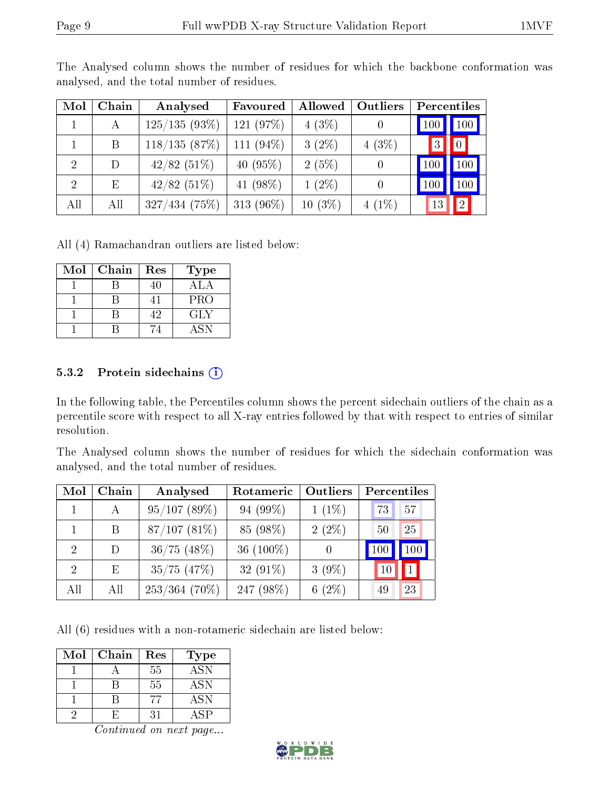| Mol                         | Chain | Analysed     | Favoured    | Allowed   | Outliers | Percentiles |              |
|-----------------------------|-------|--------------|-------------|-----------|----------|-------------|--------------|
|                             | А     | 125/135(93%) | 121 (97%)   | 4(3%)     |          | 100         | 100          |
|                             | B     | 118/135(87%) | 111 (94%)   | $3(2\%)$  | 4(3%)    | 3           | $\bigcup$    |
| -2                          | D     | 42/82(51%)   | 40 $(95\%)$ | 2(5%)     |          | 100         | 100          |
| $\mathcal{D}_{\mathcal{A}}$ | Ε     | 42/82(51%)   | 41 $(98\%)$ | $1(2\%)$  | $\theta$ | 100         | 100          |
| All                         | All   | 327/434(75%) | 313 (96%)   | $10(3\%)$ | $4(1\%)$ | 13          | $^{\prime}2$ |

The Analysed column shows the number of residues for which the backbone conformation was analysed, and the total number of residues.

All (4) Ramachandran outliers are listed below:

| Mol | Chain | Res | <b>Type</b> |
|-----|-------|-----|-------------|
|     |       | 40  | ALA         |
|     |       |     | <b>PRO</b>  |
|     |       | 42  | GLY         |
|     |       |     | A SN        |

#### 5.3.2 Protein sidechains  $(i)$

In the following table, the Percentiles column shows the percent sidechain outliers of the chain as a percentile score with respect to all X-ray entries followed by that with respect to entries of similar resolution.

The Analysed column shows the number of residues for which the sidechain conformation was analysed, and the total number of residues.

| Mol                         | Chain | Analysed        | Rotameric    | Outliers | Percentiles |     |
|-----------------------------|-------|-----------------|--------------|----------|-------------|-----|
|                             |       | 95/107(89%)     | 94 (99%)     | $1(1\%)$ | 73          | 57  |
|                             | B     | 87/107(81%)     | 85 (98%)     | $2(2\%)$ | 50          | 25  |
| $\mathcal{D}_{\mathcal{L}}$ | D.    | $36/75$ (48%)   | 36 $(100\%)$ | 0        | 100         | 100 |
| 2                           | E     | $35/75$ $(47%)$ | 32 $(91\%)$  | $3(9\%)$ |             | 1   |
| All                         | All   | $253/364$ (70%) | 247 (98%)    | $6(2\%)$ | 49          | 23  |

All (6) residues with a non-rotameric sidechain are listed below:

| Mol | Chain | Res | Type       |
|-----|-------|-----|------------|
|     |       | 55  | <b>ASN</b> |
|     |       | 55  | ASN        |
|     |       |     | ASN        |
|     |       |     | ΔSΡ        |

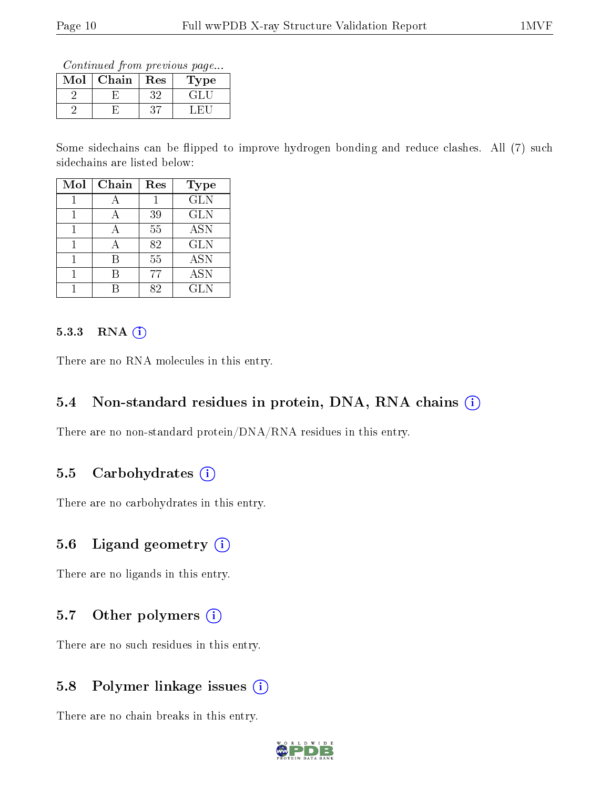Continued from previous page...

| Mol | Chain | Res | <b>Type</b> |
|-----|-------|-----|-------------|
|     |       |     | $+1$        |
|     |       |     |             |

Some sidechains can be flipped to improve hydrogen bonding and reduce clashes. All (7) such sidechains are listed below:

| Mol | Chain | Res | <b>Type</b> |
|-----|-------|-----|-------------|
|     |       |     | <b>GLN</b>  |
|     |       | 39  | <b>GLN</b>  |
|     |       | 55  | <b>ASN</b>  |
|     |       | 82  | <b>GLN</b>  |
|     |       | 55  | <b>ASN</b>  |
|     |       | 77  | <b>ASN</b>  |
|     |       | 82  | <b>GLN</b>  |

#### $5.3.3$  RNA  $(i)$

There are no RNA molecules in this entry.

### 5.4 Non-standard residues in protein, DNA, RNA chains  $(i)$

There are no non-standard protein/DNA/RNA residues in this entry.

### 5.5 Carbohydrates  $(i)$

There are no carbohydrates in this entry.

## 5.6 Ligand geometry  $(i)$

There are no ligands in this entry.

### 5.7 [O](https://www.wwpdb.org/validation/2017/XrayValidationReportHelp#nonstandard_residues_and_ligands)ther polymers  $(i)$

There are no such residues in this entry.

### 5.8 Polymer linkage issues  $(i)$

There are no chain breaks in this entry.

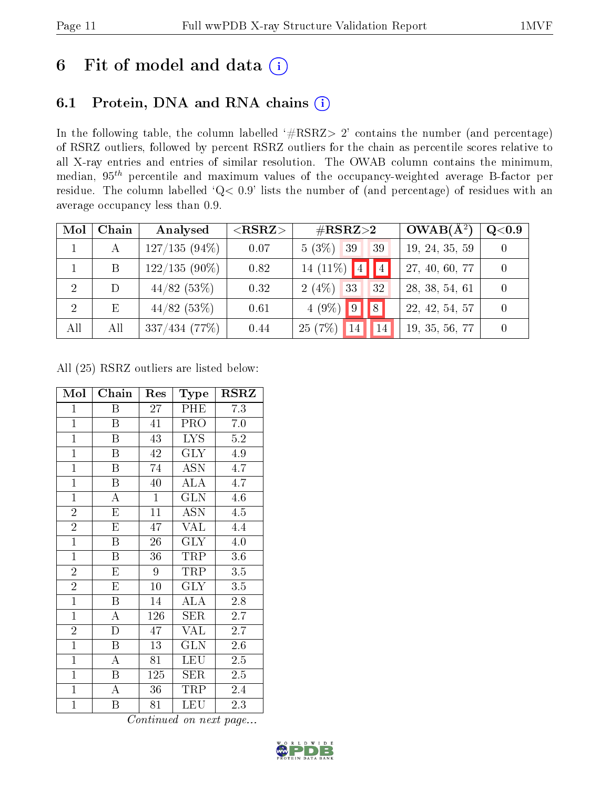# 6 Fit of model and data  $(i)$

## 6.1 Protein, DNA and RNA chains  $(i)$

In the following table, the column labelled  $#RSRZ> 2'$  contains the number (and percentage) of RSRZ outliers, followed by percent RSRZ outliers for the chain as percentile scores relative to all X-ray entries and entries of similar resolution. The OWAB column contains the minimum, median,  $95<sup>th</sup>$  percentile and maximum values of the occupancy-weighted average B-factor per residue. The column labelled ' $Q< 0.9$ ' lists the number of (and percentage) of residues with an average occupancy less than 0.9.

| Mol | Chain | Analysed        | $<$ RSRZ $>$ | $\#\text{RSRZ}{>}2$             | $OWAB(A^2)$    | $\rm Q\textcolor{black}{<}0.9$ |
|-----|-------|-----------------|--------------|---------------------------------|----------------|--------------------------------|
|     | A     | $127/135(94\%)$ | 0.07         | $5(3\%)$ 39<br>39               | 19, 24, 35, 59 |                                |
|     | B     | $122/135(90\%)$ | 0.82         | 14 (11\%) $ 4 $                 | 27, 40, 60, 77 |                                |
| 2   | D     | 44/82(53%)      | 0.32         | 33<br>2(4%)<br>32               | 28, 38, 54, 61 |                                |
| -2  | Ε     | 44/82(53%)      | 0.61         | $4(9\%)$<br>$\parallel 9$<br> 8 | 22, 42, 54, 57 |                                |
| All | All   | 337/434(77%)    | 0.44         | 25(7%)<br>14                    | 19, 35, 56, 77 |                                |

All (25) RSRZ outliers are listed below:

| Mol            | Chain                   | Res     | Type                    | $_{\rm RSRZ}$    |
|----------------|-------------------------|---------|-------------------------|------------------|
| $\mathbf{1}$   | Β                       | 27      | PHE                     | 7.3              |
| $\mathbf{1}$   | B                       | 41      | PRO                     | 7.0              |
| $\mathbf{1}$   | B                       | 43      | <b>LYS</b>              | $5.2\,$          |
| $\mathbf{1}$   | $\boldsymbol{B}$        | 42      | <b>GLY</b>              | 4.9              |
| $\overline{1}$ | Β                       | 74      | ASN                     | 4.7              |
| $\overline{1}$ | $\boldsymbol{B}$        | 40      | <b>ALA</b>              | 4.7              |
| $\overline{1}$ | $\boldsymbol{A}$        | $\,1$   | <b>GLN</b>              | 4.6              |
| $\overline{2}$ | E                       | 11      | $\operatorname{ASN}$    | 4.5              |
| $\overline{2}$ | E                       | 47      | $\overline{\text{VAL}}$ | 4.4              |
| $\overline{1}$ | B                       | 26      | $\overline{\text{GLY}}$ | 4.0              |
| $\overline{1}$ | $\boldsymbol{B}$        | 36      | TRP                     | 3.6              |
| $\overline{2}$ | $\overline{\mathrm{E}}$ | 9       | TRP                     | 3.5              |
| $\overline{2}$ | E                       | 10      | <b>GLY</b>              | 3.5              |
| $\mathbf{1}$   | $\, {\bf B}$            | 14      | ALA                     | 2.8              |
| $\mathbf{1}$   | $\overline{\rm A}$      | 126     | SER                     | $2.7^{\circ}$    |
| $\overline{2}$ | D                       | 47      | $\overline{\text{VAL}}$ | 2.7              |
| $\overline{1}$ | $\boldsymbol{B}$        | 13      | $\overline{\text{GLN}}$ | $2.\overline{6}$ |
| $\mathbf{1}$   | A                       | 81      | LEU                     | 2.5              |
| $\mathbf{1}$   | B                       | $125\,$ | <b>SER</b>              | $2.5\,$          |
| $\mathbf{1}$   | A                       | 36      | TRP                     | 2.4              |
| $\mathbf{1}$   | B                       | 81      | LEU                     | 2.3              |